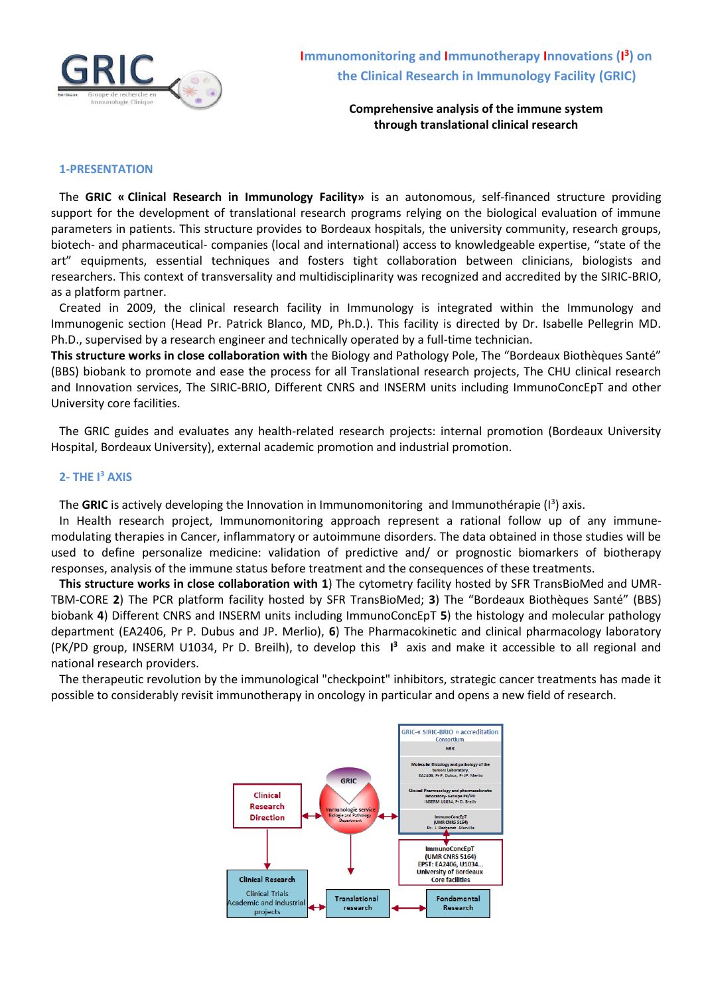

**Comprehensive analysis of the immune system through translational clinical research**

## **1-PRESENTATION**

The **GRIC « Clinical Research in Immunology Facility»** is an autonomous, self-financed structure providing support for the development of translational research programs relying on the biological evaluation of immune parameters in patients. This structure provides to Bordeaux hospitals, the university community, research groups, biotech- and pharmaceutical- companies (local and international) access to knowledgeable expertise, "state of the art" equipments, essential techniques and fosters tight collaboration between clinicians, biologists and researchers. This context of transversality and multidisciplinarity was recognized and accredited by the SIRIC-BRIO, as a platform partner.

Created in 2009, the clinical research facility in Immunology is integrated within the Immunology and Immunogenic section (Head Pr. Patrick Blanco, MD, Ph.D.). This facility is directed by Dr. Isabelle Pellegrin MD. Ph.D., supervised by a research engineer and technically operated by a full-time technician.

**This structure works in close collaboration with** the Biology and Pathology Pole, The "Bordeaux Biothèques Santé" (BBS) biobank to promote and ease the process for all Translational research projects, The CHU clinical research and Innovation services, The SIRIC-BRIO, Different CNRS and INSERM units including ImmunoConcEpT and other University core facilities.

The GRIC guides and evaluates any health-related research projects: internal promotion (Bordeaux University Hospital, Bordeaux University), external academic promotion and industrial promotion.

## **2- THE I<sup>3</sup> AXIS**

The GRIC is actively developing the Innovation in Immunomonitoring and Immunothérapie (I<sup>3</sup>) axis.

In Health research project, Immunomonitoring approach represent a rational follow up of any immunemodulating therapies in Cancer, inflammatory or autoimmune disorders. The data obtained in those studies will be used to define personalize medicine: validation of predictive and/ or prognostic biomarkers of biotherapy responses, analysis of the immune status before treatment and the consequences of these treatments.

**This structure works in close collaboration with 1**) The cytometry facility hosted by SFR TransBioMed and UMR-TBM-CORE **2**) The PCR platform facility hosted by SFR TransBioMed; **3**) The "Bordeaux Biothèques Santé" (BBS) biobank **4**) Different CNRS and INSERM units including ImmunoConcEpT **5**) the histology and molecular pathology department (EA2406, Pr P. Dubus and JP. Merlio), **6**) The Pharmacokinetic and clinical pharmacology laboratory (PK/PD group, INSERM U1034, Pr D. Breilh), to develop this **I <sup>3</sup>**axis and make it accessible to all regional and national research providers.

The therapeutic revolution by the immunological "checkpoint" inhibitors, strategic cancer treatments has made it possible to considerably revisit immunotherapy in oncology in particular and opens a new field of research.